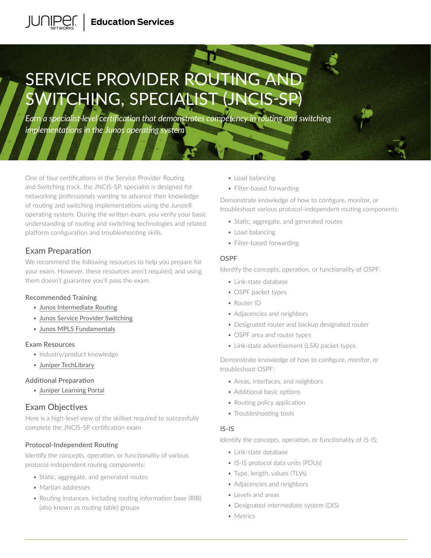# SERVICE PROVIDER ROUTING AND SWITCHING, SPECIALIST (JNCIS-SP)

*Earn a specialist-level certification that demonstrates competency in routing and switching implementations in the Junos operating system* 

One of four certifications in the Service Provider Routing and Switching track, the JNCIS-SP, specialist is designed for networking professionals wanting to advance their knowledge of routing and switching implementations using the Junos® operating system. During the written exam, you verify your basic understanding of routing and switching technologies and related platform configuration and troubleshooting skills.

# Exam Preparation

We recommend the following resources to help you prepare for your exam. However, these resources aren't required, and using them doesn't guarantee you'll pass the exam.

#### Recommended Training

- [Junos Intermediate Routing](https://learningportal.juniper.net/juniper/user_activity_info.aspx?id=2321)
- [Junos Service Provider Switching](https://learningportal.juniper.net/juniper/user_activity_info.aspx?id=2322)
- [Junos MPLS Fundamentals](https://learningportal.juniper.net/juniper/user_activity_info.aspx?id=9670)

#### Exam Resources

- Industry/product knowledge
- [Juniper TechLibrary](https://www.juniper.net/documentation/)

#### Additional Preparation

• [Juniper Learning Portal](https://learningportal.juniper.net/juniper/user_activity_info.aspx?id=JUNIPER-CERTIFICATION-PROGRAM-HOME)

# Exam Objectives

Here is a high-level view of the skillset required to successfully complete the JNCIS-SP certification exam

# Protocol-Independent Routing

Identify the concepts, operation, or functionality of various protocol-independent routing components:

- Static, aggregate, and generated routes
- Martian addresses
- Routing instances, including routing information base (RIB) (also known as routing table) groups
- Load balancing
- Filter-based forwarding

Demonstrate knowledge of how to configure, monitor, or troubleshoot various protocol-independent routing components:

- Static, aggregate, and generated routes
- Load balancing
- Filter-based forwarding

#### OSPF

Identify the concepts, operation, or functionality of OSPF:

- Link-state database
- OSPF packet types
- Router ID
- Adjacencies and neighbors
- Designated router and backup designated router
- OSPF area and router types
- Link-state advertisement (LSA) packet types

Demonstrate knowledge of how to configure, monitor, or troubleshoot OSPF:

- Areas, interfaces, and neighbors
- Additional basic options
- Routing policy application
- Troubleshooting tools

#### IS-IS

Identify the concepts, operation, or functionality of IS-IS:

- Link-state database
- IS-IS protocol data units (PDUs)
- Type, length, values (TLVs)
- Adjacencies and neighbors
- Levels and areas
- Designated intermediate system (DIS)
- Metrics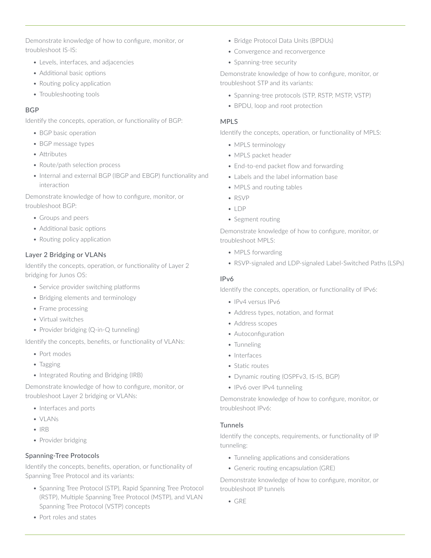Demonstrate knowledge of how to configure, monitor, or troubleshoot IS-IS:

- Levels, interfaces, and adjacencies
- Additional basic options
- Routing policy application
- Troubleshooting tools

#### **BGP**

Identify the concepts, operation, or functionality of BGP:

- BGP basic operation
- BGP message types
- Attributes
- Route/path selection process
- Internal and external BGP (IBGP and EBGP) functionality and interaction

Demonstrate knowledge of how to configure, monitor, or troubleshoot BGP:

- Groups and peers
- Additional basic options
- Routing policy application

#### Layer 2 Bridging or VLANs

Identify the concepts, operation, or functionality of Layer 2 bridging for Junos OS:

- Service provider switching platforms
- Bridging elements and terminology
- Frame processing
- Virtual switches
- Provider bridging (Q-in-Q tunneling)

Identify the concepts, benefits, or functionality of VLANs:

- Port modes
- Tagging
- Integrated Routing and Bridging (IRB)

Demonstrate knowledge of how to configure, monitor, or troubleshoot Layer 2 bridging or VLANs:

- Interfaces and ports
- VLANs
- IRB
- Provider bridging

#### Spanning-Tree Protocols

Identify the concepts, benefits, operation, or functionality of Spanning Tree Protocol and its variants:

- Spanning Tree Protocol (STP), Rapid Spanning Tree Protocol (RSTP), Multiple Spanning Tree Protocol (MSTP), and VLAN Spanning Tree Protocol (VSTP) concepts
- Port roles and states
- Bridge Protocol Data Units (BPDUs)
- Convergence and reconvergence
- Spanning-tree security

Demonstrate knowledge of how to configure, monitor, or troubleshoot STP and its variants:

- Spanning-tree protocols (STP, RSTP, MSTP, VSTP)
- BPDU, loop and root protection

#### MPLS

Identify the concepts, operation, or functionality of MPLS:

- MPLS terminology
- MPLS packet header
- End-to-end packet flow and forwarding
- Labels and the label information base
- MPLS and routing tables
- RSVP
- LDP
- Segment routing

Demonstrate knowledge of how to configure, monitor, or troubleshoot MPLS:

- MPLS forwarding
- RSVP-signaled and LDP-signaled Label-Switched Paths (LSPs)

#### IPv6

Identify the concepts, operation, or functionality of IPv6:

- IPv4 versus IPv6
- Address types, notation, and format
- Address scopes • Autoconfiguration
- 
- Tunneling
- Interfaces
- Static routes
- Dynamic routing (OSPFv3, IS-IS, BGP)
- IPv6 over IPv4 tunneling

Demonstrate knowledge of how to configure, monitor, or troubleshoot IPv6:

#### Tunnels

Identify the concepts, requirements, or functionality of IP tunneling:

- Tunneling applications and considerations
- Generic routing encapsulation (GRE)

Demonstrate knowledge of how to configure, monitor, or troubleshoot IP tunnels

• GRE